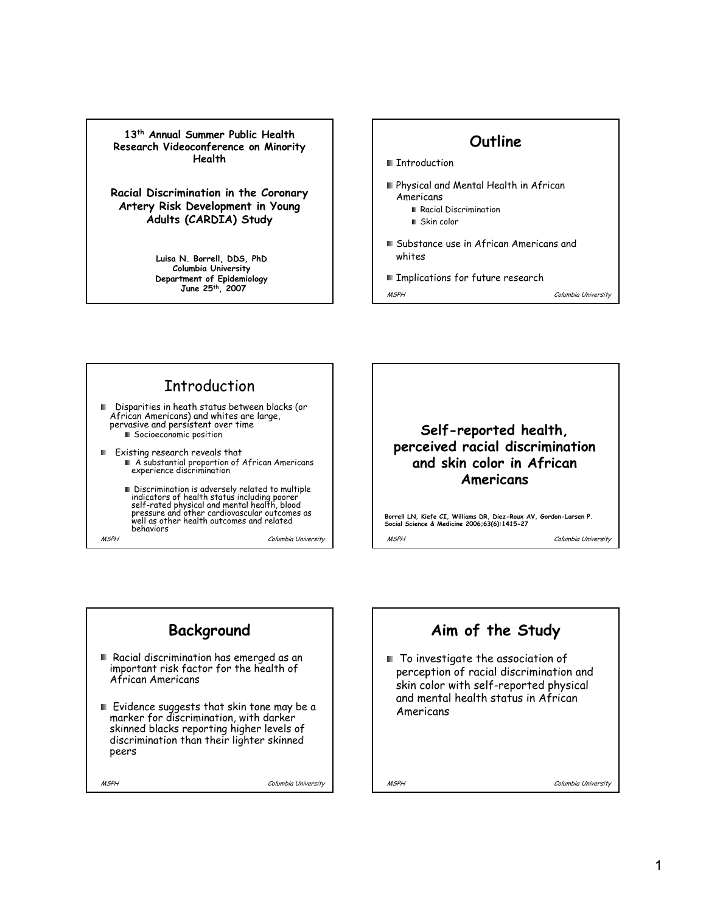**13th Annual Summer Public Health Research Videoconference on Minority Health**

**Racial Discrimination in the Coronary Artery Risk Development in Young Adults (CARDIA) Study**

> **Luisa N. Borrell, DDS, PhD Columbia University Department of Epidemiology June 25th, 2007**



MSPH Columbia University

### **Introduction** Disparities in heath status between blacks (or African Americans) and whites are large, pervasive and persistent over time **Socioeconomic position** Existing research reveals that A substantial proportion of African Americans experience discrimination Discrimination is adversely related to multiple

MSPH Columbia University indicators of health status including poorer self-rated physical and mental health, blood pressure and other cardiovascular outcomes as well as other health outcomes and related behaviors



MSPH Columbia University **Borrell LN, Kiefe CI, Williams DR, Diez-Roux AV, Gordon-Larsen P. Social Science & Medicine 2006;63(6):1415-27** 

# **Background**

- Racial discrimination has emerged as an important risk factor for the health of African Americans
- $\blacksquare$  Evidence suggests that skin tone may be a marker for discrimination, with darker skinned blacks reporting higher levels of discrimination than their lighter skinned peers

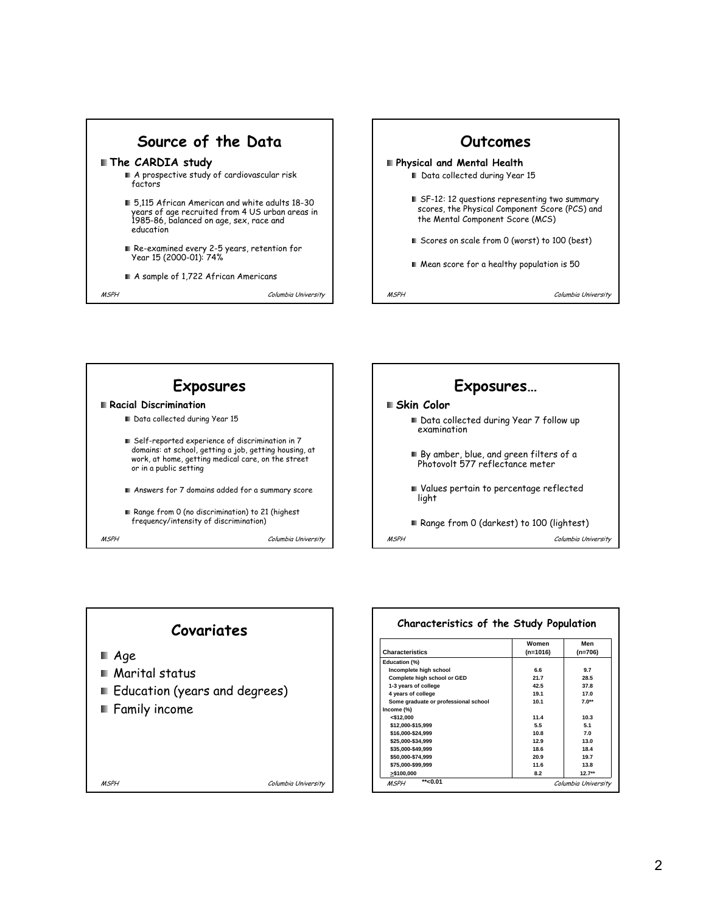







| Characteristics of the Study Population |          |           |  |  |  |
|-----------------------------------------|----------|-----------|--|--|--|
|                                         | Women    | Men       |  |  |  |
| <b>Characteristics</b>                  | (n=1016) | $(n=706)$ |  |  |  |
| Education (%)                           |          |           |  |  |  |
| Incomplete high school                  | 6.6      | 9.7       |  |  |  |
| Complete high school or GED             | 21.7     | 28.5      |  |  |  |
| 1-3 years of college                    | 42.5     | 37 R      |  |  |  |
| 4 years of college                      | 19.1     | 17.0      |  |  |  |
| Some graduate or professional school    | 10.1     | $7.0**$   |  |  |  |
| Income (%)                              |          |           |  |  |  |
| $<$ \$12.000                            | 11.4     | 10.3      |  |  |  |
| \$12.000-\$15.999                       | 5.5      | 5.1       |  |  |  |
| \$16.000-\$24.999                       | 10.8     | 70        |  |  |  |
| \$25.000-\$34.999                       | 12.9     | 13.0      |  |  |  |
| \$35.000-\$49.999                       | 18.6     | 18.4      |  |  |  |
| \$50.000-\$74.999                       | 20.9     | 19.7      |  |  |  |
| \$75.000-\$99.999                       | 11.6     | 13.8      |  |  |  |
| > \$100.000                             | 8.2      | $12.7***$ |  |  |  |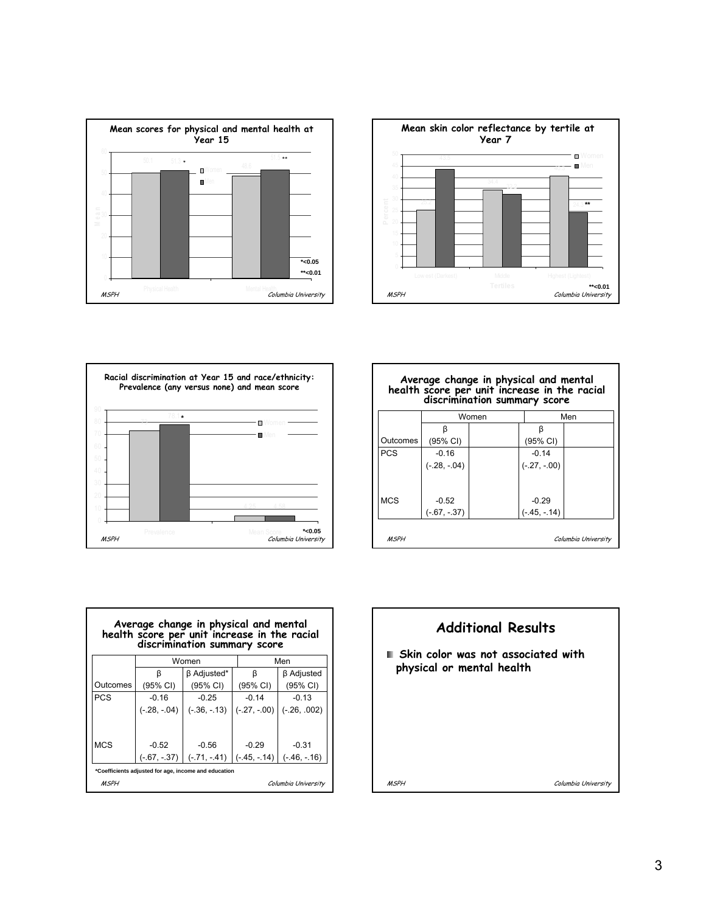





|            | Women          |  | Men            |  |
|------------|----------------|--|----------------|--|
|            | ß              |  | β              |  |
| Outcomes   | (95% CI)       |  | (95% CI)       |  |
| <b>PCS</b> | $-0.16$        |  | $-0.14$        |  |
|            | $(-.28, -.04)$ |  | $(-.27, -.00)$ |  |
| <b>MCS</b> | $-0.52$        |  | $-0.29$        |  |
|            | $(-.67, -.37)$ |  | $(-.45, -.14)$ |  |

г





٦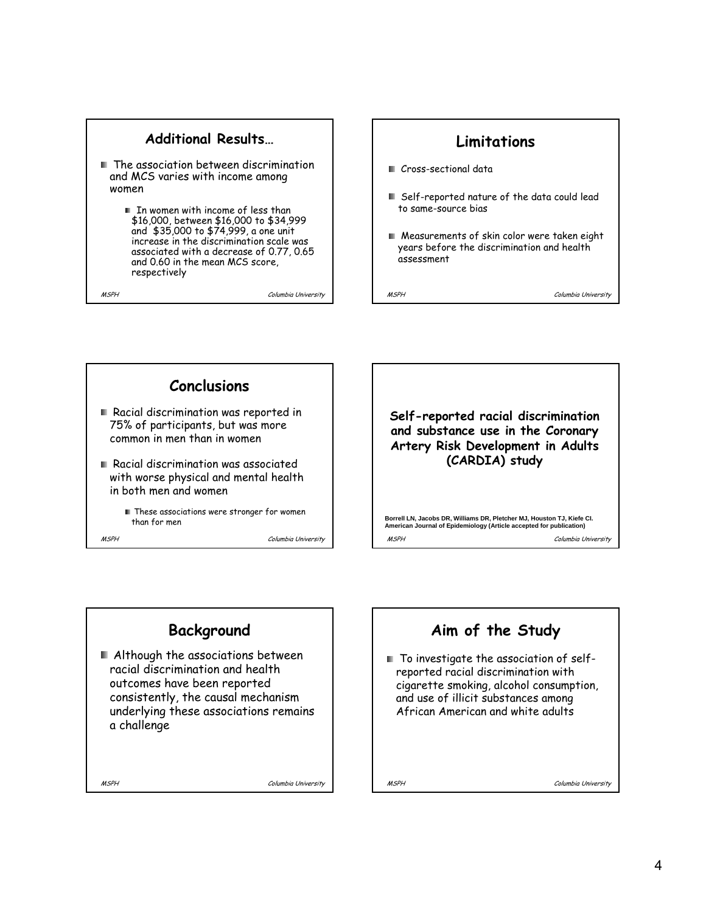#### **Additional Results…**

- The association between discrimination and MCS varies with income among women
	- In women with income of less than \$16,000, between \$16,000 to \$34,999 and \$35,000 to \$74,999, a one unit increase in the discrimination scale was associated with a decrease of 0.77, 0.65 and 0.60 in the mean MCS score, respectively

MSPH Columbia University





**Self-reported racial discrimination and substance use in the Coronary Artery Risk Development in Adults (CARDIA) study**

MSPH Columbia University **Borrell LN, Jacobs DR, Williams DR, Pletcher MJ, Houston TJ, Kiefe CI. American Journal of Epidemiology (Article accepted for publication)**

**Background** Although the associations between racial discrimination and health outcomes have been reported consistently, the causal mechanism underlying these associations remains a challenge

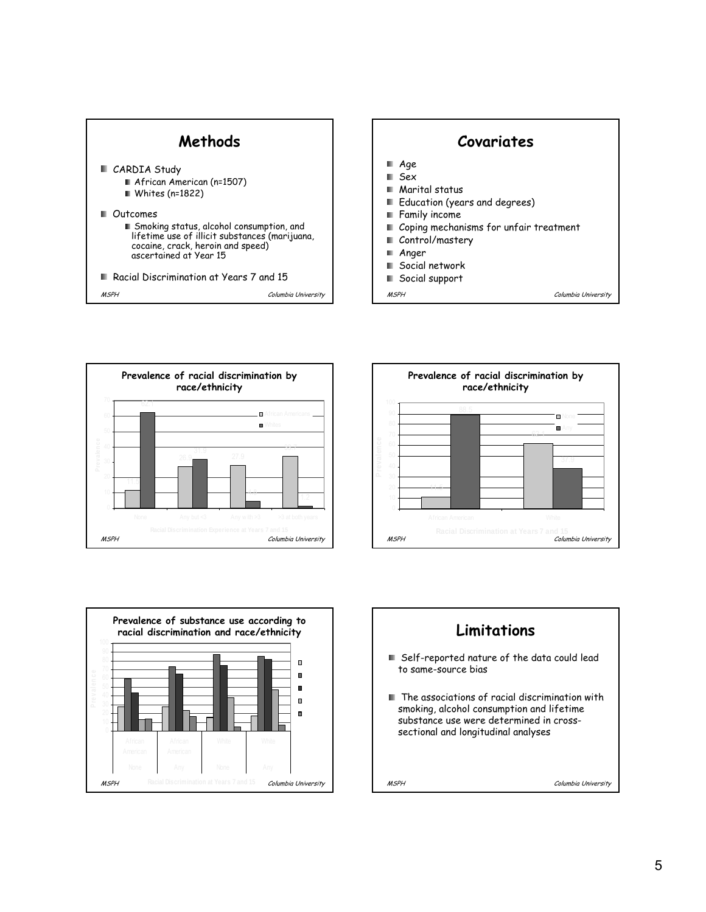